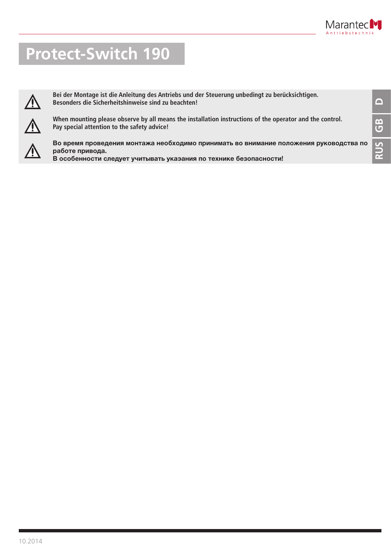

# **Protect-Switch 190**



**Bei der Montage ist die Anleitung des Antriebs und der Steuerung unbedingt zu berücksichtigen. Besonders die Sicherheitshinweise sind zu beachten! Die Besonders die Sicherheitshinweise sind zu beachten!** 



**When mounting please observe by all means the installation instructions of the operator and the control. Pay special attention to the safety advice!**



Во время проведения монтажа необходимо принимать во внимание положения руководства по работе привода. В особенности следует учитывать укаэания по технике безопасности!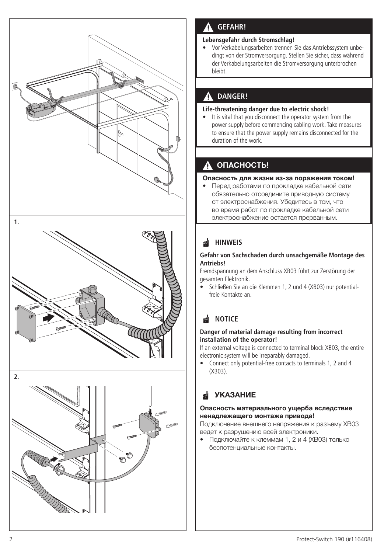

## **GEFAHR!**

## **Lebensgefahr durch Stromschlag!**

Vor Verkabelungsarbeiten trennen Sie das Antriebssystem unbedingt von der Stromversorgung. Stellen Sie sicher, dass während der Verkabelungsarbeiten die Stromversorgung unterbrochen bleibt.

#### **DANGER!** Δ

## **Life-threatening danger due to electric shock!**

It is vital that you disconnect the operator system from the power supply before commencing cabling work. Take measures to ensure that the power supply remains disconnected for the duration of the work.

#### ОПАСНОСТЬ! 71

## Опасность для жизни из-за поражения током!

Перед работами по прокладке кабельной сети обязательно отсоедините приводную систему от электроснабжения. Убедитесь в том, что во время работ по прокладке кабельной сети электроснабжение остается прерванным.

#### 幽 **HINWEIS**

### **Gefahr von Sachschaden durch unsachgemäße Montage des Antriebs!**

Fremdspannung an dem Anschluss XB03 führt zur Zerstörung der gesamten Elektronik.

Schließen Sie an die Klemmen 1, 2 und 4 (XB03) nur potentialfreie Kontakte an.

#### **NOTICE** 艸

## **Danger of material damage resulting from incorrect installation of the operator!**

If an external voltage is connected to terminal block XB03, the entire electronic system will be irreparably damaged.

• Connect only potential-free contacts to terminals 1, 2 and 4 (XB03).

## УКАЗАНИЕ

## Опасность материального ущерба вследствие ненадлежащего монтажа привода!

Подключение внешнего напряжения к разъему XB03 ведет к разрушению всей электроники.

• Подключайте к клеммам 1, 2 и 4 (XB03) только беспотенциальные контакты.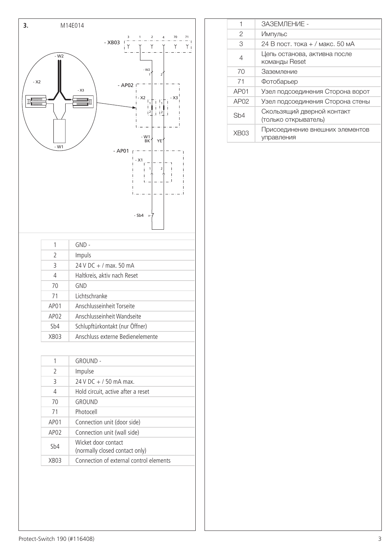

| 1                | ЗАЗЕМЛЕНИЕ -                                       |
|------------------|----------------------------------------------------|
| 2                | Импульс                                            |
| З                | 24 В пост. тока + / макс. 50 мА                    |
| 4                | Цепь останова, активна после<br>команды Reset      |
| 70               | Заземление                                         |
| 71               | Фотобарьер                                         |
| AP <sub>01</sub> | Узел подсоединения Сторона ворот                   |
| AP <sub>02</sub> | Узел подсоединения Сторона стены                   |
| Sh4              | Скользящий дверной контакт<br>(только открыватель) |
| XB03             | Присоединение внешних элементов<br>управления      |